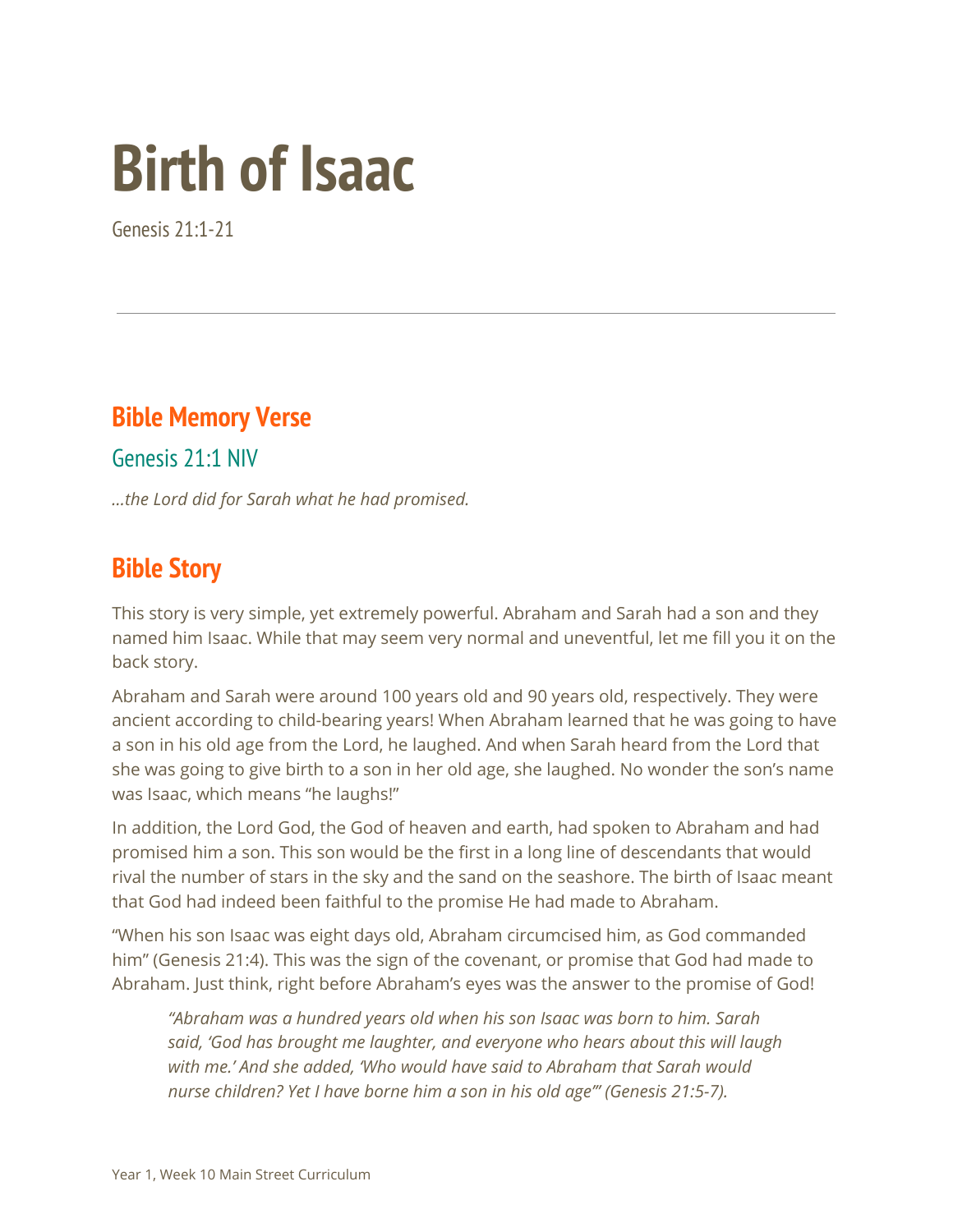# **Birth of Isaac**

Genesis 21:1-21

## **Bible Memory Verse**

Genesis 21:1 NIV

*...the Lord did for Sarah what he had promised.*

#### **Bible Story**

This story is very simple, yet extremely powerful. Abraham and Sarah had a son and they named him Isaac. While that may seem very normal and uneventful, let me fill you it on the back story.

Abraham and Sarah were around 100 years old and 90 years old, respectively. They were ancient according to child-bearing years! When Abraham learned that he was going to have a son in his old age from the Lord, he laughed. And when Sarah heard from the Lord that she was going to give birth to a son in her old age, she laughed. No wonder the son's name was Isaac, which means "he laughs!"

In addition, the Lord God, the God of heaven and earth, had spoken to Abraham and had promised him a son. This son would be the first in a long line of descendants that would rival the number of stars in the sky and the sand on the seashore. The birth of Isaac meant that God had indeed been faithful to the promise He had made to Abraham.

"When his son Isaac was eight days old, Abraham circumcised him, as God commanded him" (Genesis 21:4). This was the sign of the covenant, or promise that God had made to Abraham. Just think, right before Abraham's eyes was the answer to the promise of God!

*"Abraham was a hundred years old when his son Isaac was born to him. Sarah said, 'God has brought me laughter, and everyone who hears about this will laugh with me.' And she added, 'Who would have said to Abraham that Sarah would nurse children? Yet I have borne him a son in his old age'" (Genesis 21:5-7).*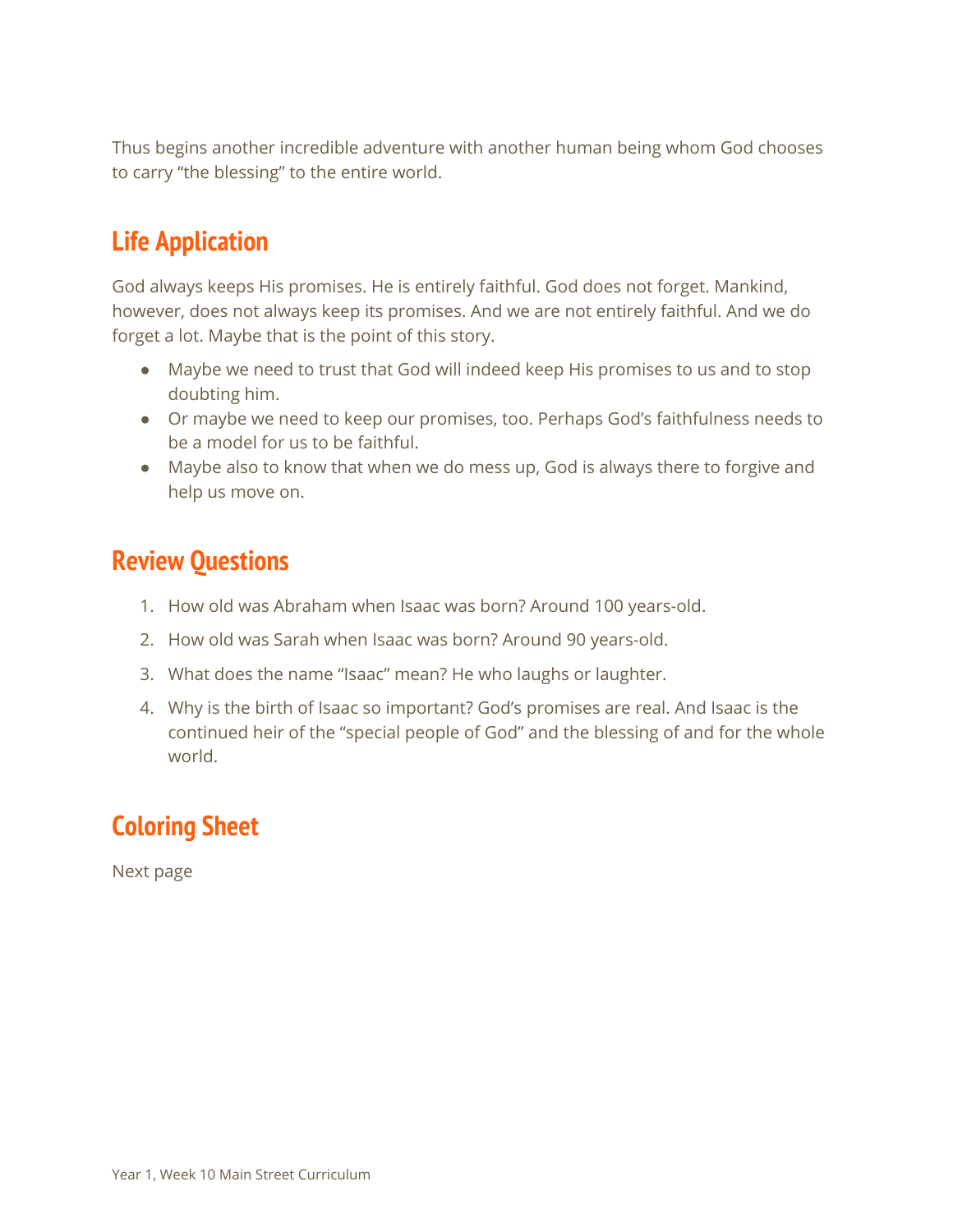Thus begins another incredible adventure with another human being whom God chooses to carry "the blessing" to the entire world.

### **Life Application**

God always keeps His promises. He is entirely faithful. God does not forget. Mankind, however, does not always keep its promises. And we are not entirely faithful. And we do forget a lot. Maybe that is the point of this story.

- Maybe we need to trust that God will indeed keep His promises to us and to stop doubting him.
- Or maybe we need to keep our promises, too. Perhaps God's faithfulness needs to be a model for us to be faithful.
- Maybe also to know that when we do mess up, God is always there to forgive and help us move on.

#### **Review Questions**

- 1. How old was Abraham when Isaac was born? Around 100 years-old.
- 2. How old was Sarah when Isaac was born? Around 90 years-old.
- 3. What does the name "Isaac" mean? He who laughs or laughter.
- 4. Why is the birth of Isaac so important? God's promises are real. And Isaac is the continued heir of the "special people of God" and the blessing of and for the whole world.

# **Coloring Sheet**

Next page